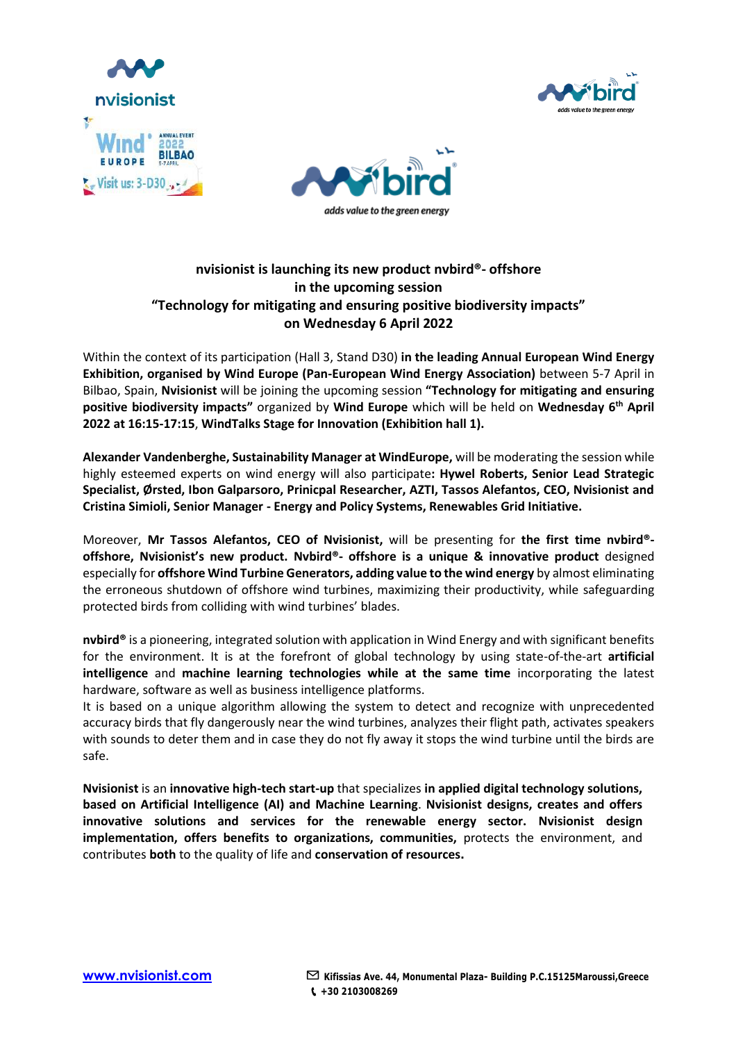





# **nvisionist is launching its new product nvbird®️- offshore in the upcoming session "Technology for mitigating and ensuring positive biodiversity impacts" on Wednesday 6 April 2022**

Within the context of its participation (Hall 3, Stand D30) **in the leading Annual European Wind Energy Exhibition, organised by Wind Europe (Pan-European Wind Energy Association)** between 5-7 April in Bilbao, Spain, **Nvisionist** will be joining the upcoming session **"Technology for mitigating and ensuring positive biodiversity impacts"** organized by **Wind Europe** which will be held on **Wednesday 6th April 2022 at 16:15-17:15**, **WindTalks Stage for Innovation (Exhibition hall 1).** 

**Alexander Vandenberghe, Sustainability Manager at WindEurope,** will be moderating the session while highly esteemed experts on wind energy will also participate**: Hywel Roberts, Senior Lead Strategic Specialist, Ørsted, Ibon Galparsoro, Prinicpal Researcher, AZTI, Tassos Alefantos, CEO, Nvisionist and Cristina Simioli, Senior Manager - Energy and Policy Systems, Renewables Grid Initiative.** 

Moreover, **Mr Tassos Alefantos, CEO of Nvisionist,** will be presenting for **the first time nvbird®️ offshore, Nvisionist's new product. Nvbird®️- offshore is a unique & innovative product** designed especially for **offshore Wind Turbine Generators, adding value to the wind energy** by almost eliminating the erroneous shutdown of offshore wind turbines, maximizing their productivity, while safeguarding protected birds from colliding with wind turbines' blades.

**nvbird®️** is a pioneering, integrated solution with application in Wind Energy and with significant benefits for the environment. It is at the forefront of global technology by using state-of-the-art **artificial intelligence** and **machine learning technologies while at the same time** incorporating the latest hardware, software as well as business intelligence platforms.

It is based on a unique algorithm allowing the system to detect and recognize with unprecedented accuracy birds that fly dangerously near the wind turbines, analyzes their flight path, activates speakers with sounds to deter them and in case they do not fly away it stops the wind turbine until the birds are safe.

**Nvisionist** is an **innovative high-tech start-up** that specializes **in applied digital technology solutions, based on Artificial Intelligence (AI) and Machine Learning**. **Nvisionist designs, creates and offers innovative solutions and services for the renewable energy sector. Nvisionist design implementation, offers benefits to organizations, communities,** protects the environment, and contributes **both** to the quality of life and **conservation of resources.**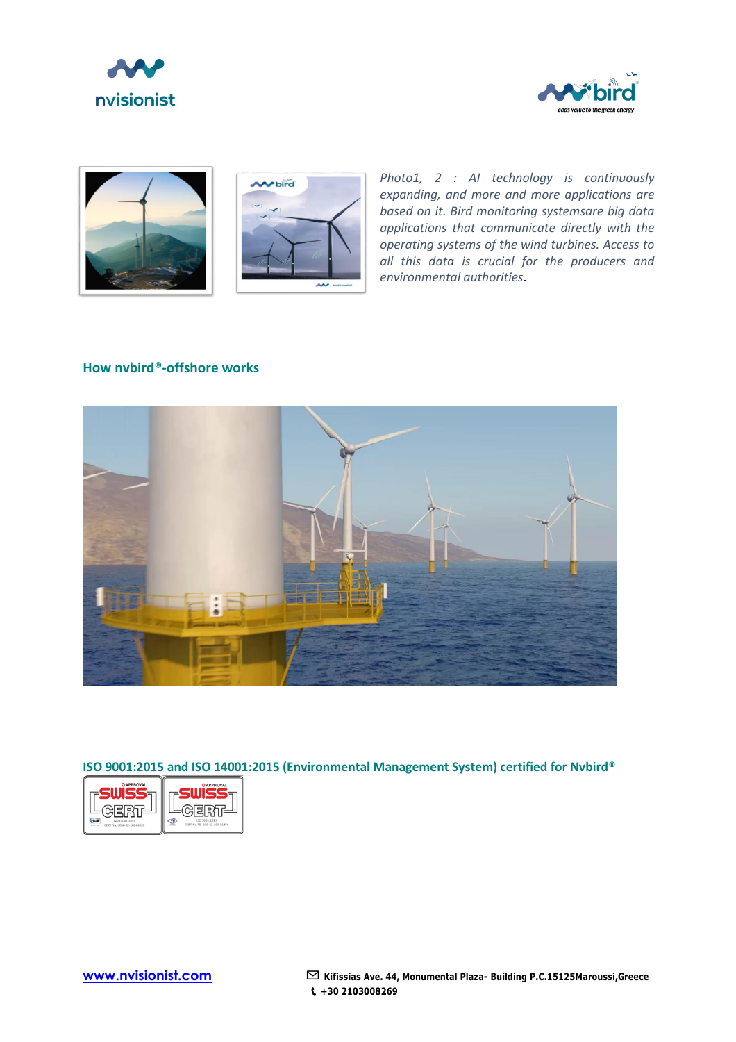







*Photo1, 2 : AI technology is continuously expanding, and more and more applications are based on it. Bird monitoring systemsare big data applications that communicate directly with the operating systems of the wind turbines. Access to all this data is crucial for the producers and environmental authorities*.

### **How nvbird®️-offshore works**



## **ISO 9001:2015 and ISO 14001:2015 (Environmental Management System) certified for Nvbird®️**

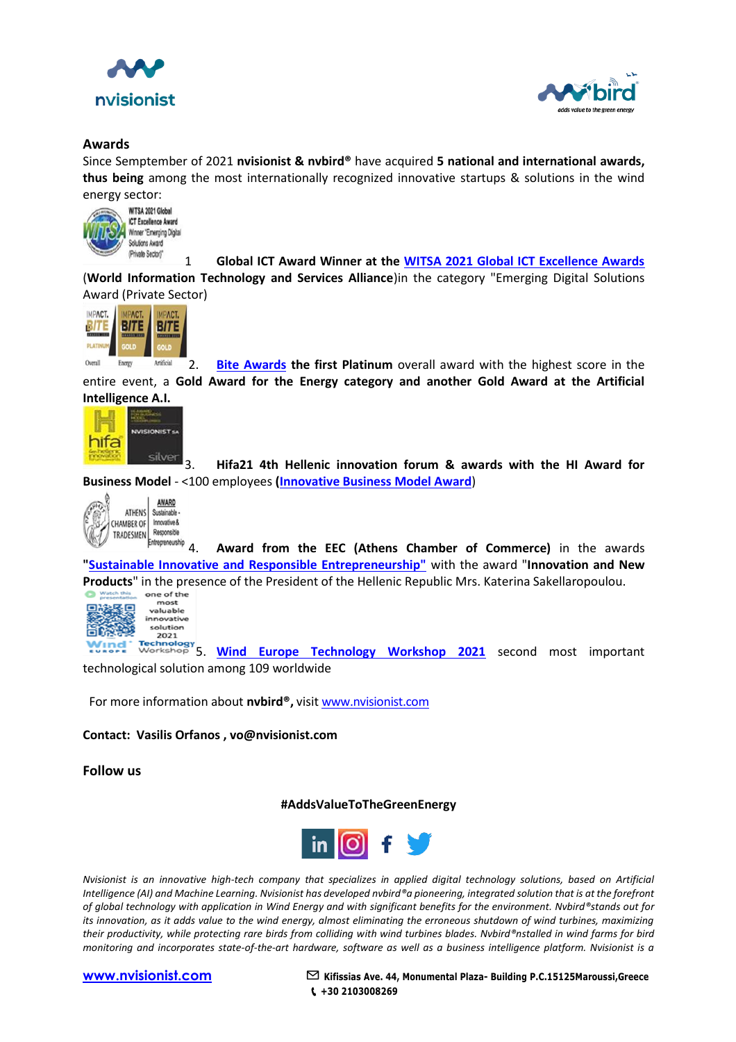



### **Awards**

Since Semptember of 2021 **nvisionist & nvbird®️** have acquired **5 national and international awards, thus being** among the most internationally recognized innovative startups & solutions in the wind energy sector:<br>WITSA 2021 Global



1 **Global ICT Award Winner at the [WITSA 2021 Global ICT Excellence Awards](https://witsa.org/global-ict-excellence-awards-2021-2/)**

(**World Information Technology and Services Alliance**)in the category "Emerging Digital Solutions Award (Private Sector)



Artificial **2. [Bite Awards](https://www.businessitawards.gr/) the first Platinum** overall award with the highest score in the Overall Energy entire event, a **Gold Award for the Energy category and another Gold Award at the Artificial** 



3. **Hifa21 4th Hellenic innovation forum & awards with the HI Award for Business Model** - <100 employees **[\(Innovative Business Model Award](https://ethosevents.eu/event/hellenic-innovation-forum-amp-awards-2021/)**)



**Entreprenaution**<br>**Entreprenaution** 4. Award from the EEC (Athens Chamber of Commerce) in the awards **["Sustainable Innovative and Responsible Entrepreneurship"](https://nvisionist.com/wp-content/uploads/2021/11/ACTAwards-02.11-2021-nvisionist_EN.pdf)** with the award "**Innovation and New Products**" in the presence of the President of the Hellenic Republic Mrs. Katerina Sakellaropoulou.<br>
Strain and one of the line of the line of the line of the line of the President of the Hellenic Republic Mrs. Katerina S



most valuable innovative solution 2021

5. **[Wind Europe Technology Workshop 2021](https://www.youtube.com/watch?v=Eaga1EQ9zds)** second most important Vınd technological solution among 109 worldwide

For more information about **nvbird®️,** visit [www.nvisionist.com](https://nvisionist.com/)

### **Contact: Vasilis Orfanos , vo@nvisionist.com**

**Follow us**

**#AddsValueToTheGreenEnergy**



*Nvisionist is an innovative high-tech company that specializes in ap[plied](http://en.wikifur.com/wiki/Twitter) digital technology solutions, based on Artificial Intelligence (AI) and Machine Learning. Nvisionist has developed nvbird®️[a pio](http://en.wikifur.com/wiki/Twitter)neering, integrated solution that is at the forefront of global technology with application in Wind Energy and with significa[nt be](http://en.wikifur.com/wiki/Twitter)nefits for the environment. Nvbird®️stands out for its innovation, as it adds value to the wind energy, almost eliminating [the e](http://en.wikifur.com/wiki/Twitter)rroneous shutdown of wind turbines, maximizing their productivity, while protecting rare birds from colliding with wind t[urbin](http://en.wikifur.com/wiki/Twitter)es blades. Nvbird®️nstalled in wind farms for bird monitoring and incorporates state-of-the-art hardware, software as w[ell a](http://en.wikifur.com/wiki/Twitter)s a business intelligence platform. Nvisionist is a* 



**[www.nvisionist.com](http://www.nvisionist.com/)** ✉ **Kifissias Ave. 44, M[onum](http://en.wikifur.com/wiki/Twitter)ental Plaza- Building P.C.15125Maroussi,Greece +30 2103008269**